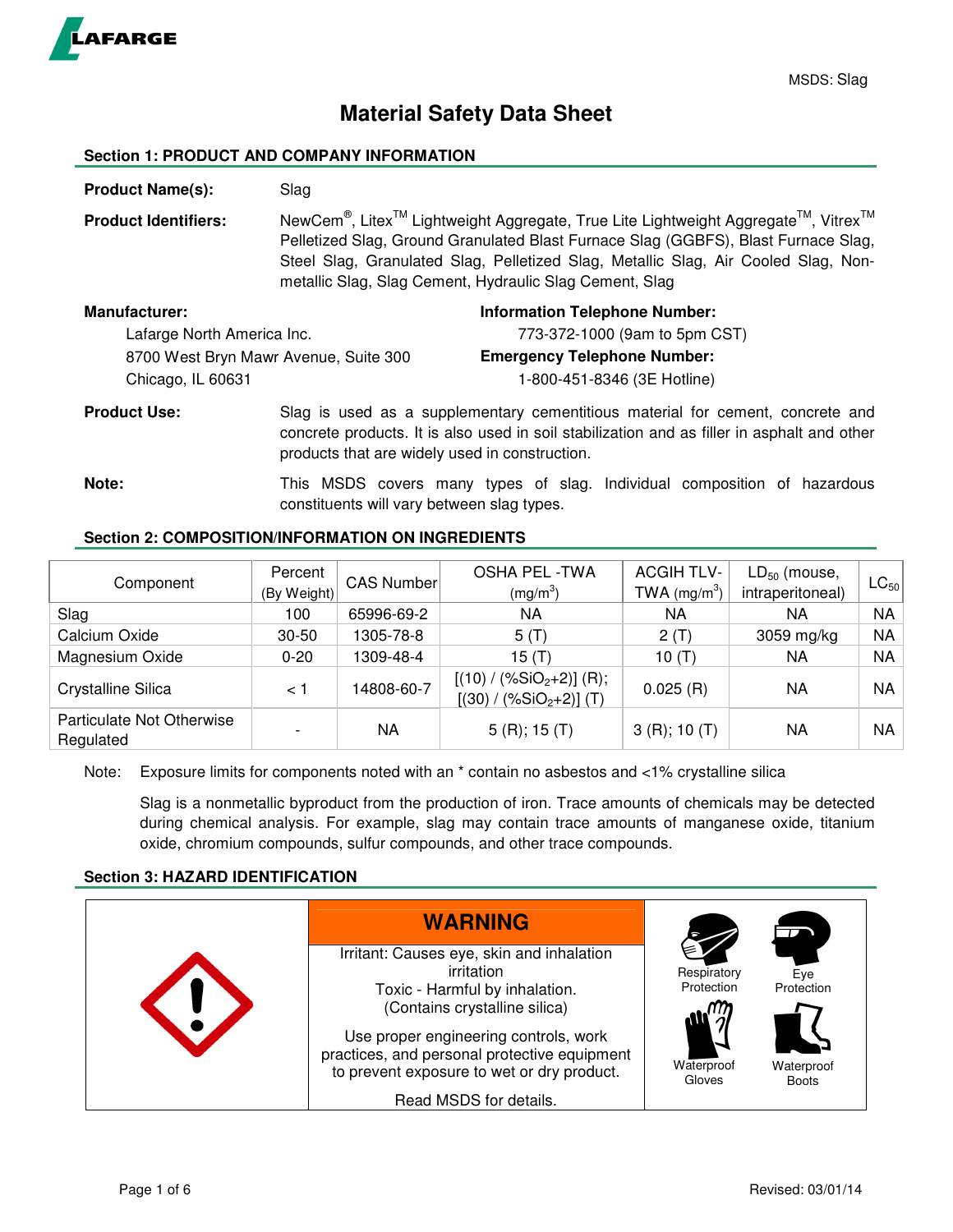

# **Material Safety Data Sheet**

## **Section 1: PRODUCT AND COMPANY INFORMATION**

**Product Name(s):** Slag **Product Identifiers:** NewCem<sup>®</sup>, Litex<sup>™</sup> Lightweight Aggregate, True Lite Lightweight Aggregate<sup>™</sup>, Vitrex<sup>™</sup> Pelletized Slag, Ground Granulated Blast Furnace Slag (GGBFS), Blast Furnace Slag, Steel Slag, Granulated Slag, Pelletized Slag, Metallic Slag, Air Cooled Slag, Nonmetallic Slag, Slag Cement, Hydraulic Slag Cement, Slag **Manufacturer: Information Telephone Number: Information Telephone Number:** Lafarge North America Inc. 773-372-1000 (9am to 5pm CST) 8700 West Bryn Mawr Avenue, Suite 300 **Emergency Telephone Number:**  Chicago, IL 60631 1-800-451-8346 (3E Hotline) **Product Use:** Slag is used as a supplementary cementitious material for cement, concrete and concrete products. It is also used in soil stabilization and as filler in asphalt and other products that are widely used in construction. **Note:** This MSDS covers many types of slag. Individual composition of hazardous

## **Section 2: COMPOSITION/INFORMATION ON INGREDIENTS**

| Component                              | Percent     | CAS Number | <b>OSHA PEL -TWA</b>                                   | <b>ACGIH TLV-</b>                            | $LD_{50}$ (mouse, | $\mathsf{LC}_{50}$ |
|----------------------------------------|-------------|------------|--------------------------------------------------------|----------------------------------------------|-------------------|--------------------|
|                                        | (By Weight) |            | $(mg/m^3)$                                             | TWA (mg/m <sup>3</sup> )<br>intraperitoneal) |                   |                    |
| Slag                                   | 100         | 65996-69-2 | ΝA                                                     | ΝA                                           | NА                | <b>NA</b>          |
| Calcium Oxide                          | $30 - 50$   | 1305-78-8  | 5(T)                                                   | 2(T)                                         | 3059 mg/kg        | NA                 |
| Magnesium Oxide                        | $0 - 20$    | 1309-48-4  | 15 $(T)$                                               | 10 $(T)$                                     | NA                | <b>NA</b>          |
| Crystalline Silica                     | 1 >         | 14808-60-7 | $[(10) / (\%SiO2+2)]$ (R);<br>$[(30) / (%SiO2+2)]$ (T) | 0.025(R)                                     | NA                | <b>NA</b>          |
| Particulate Not Otherwise<br>Regulated |             | ΝA         | 5(R); 15(T)                                            | 3(R); 10(T)                                  | NA                | NA.                |

Note: Exposure limits for components noted with an \* contain no asbestos and <1% crystalline silica

constituents will vary between slag types.

Slag is a nonmetallic byproduct from the production of iron. Trace amounts of chemicals may be detected during chemical analysis. For example, slag may contain trace amounts of manganese oxide, titanium oxide, chromium compounds, sulfur compounds, and other trace compounds.

## **Section 3: HAZARD IDENTIFICATION**

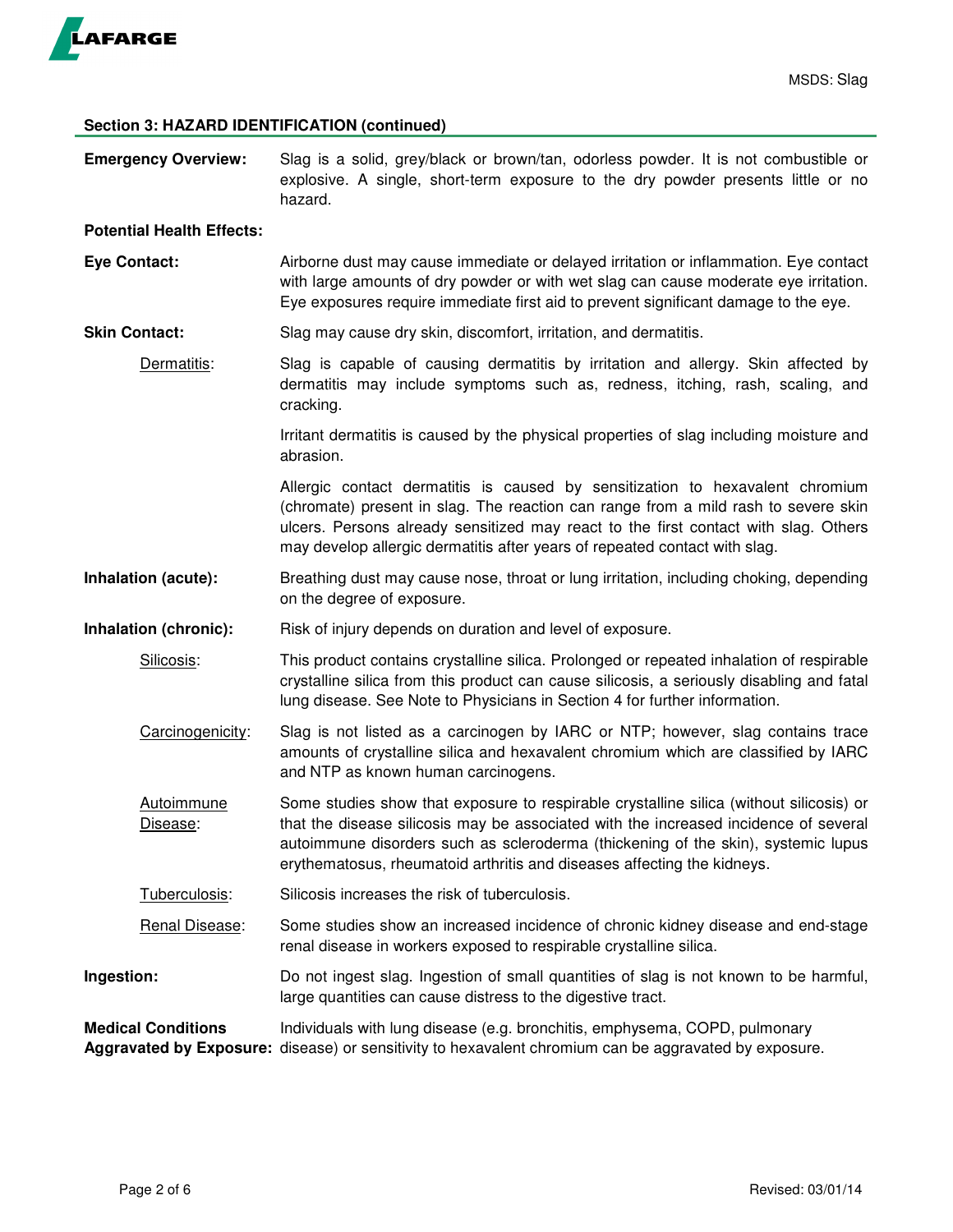

## **Section 3: HAZARD IDENTIFICATION (continued)**

| <b>Emergency Overview:</b>       | Slag is a solid, grey/black or brown/tan, odorless powder. It is not combustible or<br>explosive. A single, short-term exposure to the dry powder presents little or no<br>hazard.                                                                                                                                                              |  |  |
|----------------------------------|-------------------------------------------------------------------------------------------------------------------------------------------------------------------------------------------------------------------------------------------------------------------------------------------------------------------------------------------------|--|--|
| <b>Potential Health Effects:</b> |                                                                                                                                                                                                                                                                                                                                                 |  |  |
| <b>Eye Contact:</b>              | Airborne dust may cause immediate or delayed irritation or inflammation. Eye contact<br>with large amounts of dry powder or with wet slag can cause moderate eye irritation.<br>Eye exposures require immediate first aid to prevent significant damage to the eye.                                                                             |  |  |
| <b>Skin Contact:</b>             | Slag may cause dry skin, discomfort, irritation, and dermatitis.                                                                                                                                                                                                                                                                                |  |  |
| Dermatitis:                      | Slag is capable of causing dermatitis by irritation and allergy. Skin affected by<br>dermatitis may include symptoms such as, redness, itching, rash, scaling, and<br>cracking.                                                                                                                                                                 |  |  |
|                                  | Irritant dermatitis is caused by the physical properties of slag including moisture and<br>abrasion.                                                                                                                                                                                                                                            |  |  |
|                                  | Allergic contact dermatitis is caused by sensitization to hexavalent chromium<br>(chromate) present in slag. The reaction can range from a mild rash to severe skin<br>ulcers. Persons already sensitized may react to the first contact with slag. Others<br>may develop allergic dermatitis after years of repeated contact with slag.        |  |  |
| Inhalation (acute):              | Breathing dust may cause nose, throat or lung irritation, including choking, depending<br>on the degree of exposure.                                                                                                                                                                                                                            |  |  |
| Inhalation (chronic):            | Risk of injury depends on duration and level of exposure.                                                                                                                                                                                                                                                                                       |  |  |
| Silicosis:                       | This product contains crystalline silica. Prolonged or repeated inhalation of respirable<br>crystalline silica from this product can cause silicosis, a seriously disabling and fatal<br>lung disease. See Note to Physicians in Section 4 for further information.                                                                             |  |  |
| Carcinogenicity:                 | Slag is not listed as a carcinogen by IARC or NTP; however, slag contains trace<br>amounts of crystalline silica and hexavalent chromium which are classified by IARC<br>and NTP as known human carcinogens.                                                                                                                                    |  |  |
| <b>Autoimmune</b><br>Disease:    | Some studies show that exposure to respirable crystalline silica (without silicosis) or<br>that the disease silicosis may be associated with the increased incidence of several<br>autoimmune disorders such as scleroderma (thickening of the skin), systemic lupus<br>erythematosus, rheumatoid arthritis and diseases affecting the kidneys. |  |  |
| Tuberculosis:                    | Silicosis increases the risk of tuberculosis.                                                                                                                                                                                                                                                                                                   |  |  |
| Renal Disease:                   | Some studies show an increased incidence of chronic kidney disease and end-stage<br>renal disease in workers exposed to respirable crystalline silica.                                                                                                                                                                                          |  |  |
| Ingestion:                       | Do not ingest slag. Ingestion of small quantities of slag is not known to be harmful,<br>large quantities can cause distress to the digestive tract.                                                                                                                                                                                            |  |  |
| <b>Medical Conditions</b>        | Individuals with lung disease (e.g. bronchitis, emphysema, COPD, pulmonary<br>Aggravated by Exposure: disease) or sensitivity to hexavalent chromium can be aggravated by exposure.                                                                                                                                                             |  |  |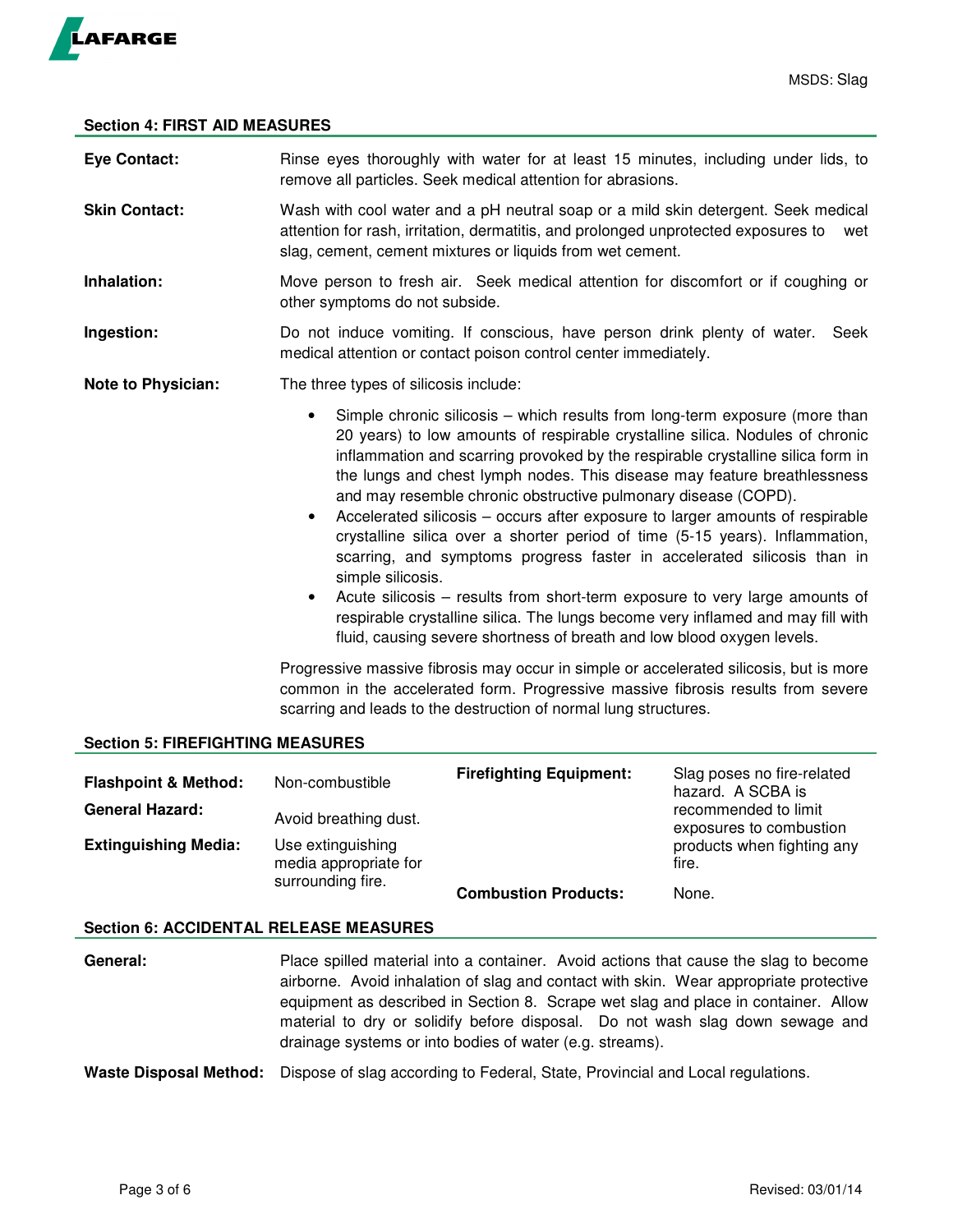

## **Section 4: FIRST AID MEASURES**

| <b>Eye Contact:</b>       | Rinse eyes thoroughly with water for at least 15 minutes, including under lids, to<br>remove all particles. Seek medical attention for abrasions.                                                                                                                                                                                                                                                                                                                                                                                                                                                                                                                                                                                                                                                                                                                                                                                                 |  |  |
|---------------------------|---------------------------------------------------------------------------------------------------------------------------------------------------------------------------------------------------------------------------------------------------------------------------------------------------------------------------------------------------------------------------------------------------------------------------------------------------------------------------------------------------------------------------------------------------------------------------------------------------------------------------------------------------------------------------------------------------------------------------------------------------------------------------------------------------------------------------------------------------------------------------------------------------------------------------------------------------|--|--|
| <b>Skin Contact:</b>      | Wash with cool water and a pH neutral soap or a mild skin detergent. Seek medical<br>attention for rash, irritation, dermatitis, and prolonged unprotected exposures to<br>wet<br>slag, cement, cement mixtures or liquids from wet cement.                                                                                                                                                                                                                                                                                                                                                                                                                                                                                                                                                                                                                                                                                                       |  |  |
| Inhalation:               | Move person to fresh air. Seek medical attention for discomfort or if coughing or<br>other symptoms do not subside.                                                                                                                                                                                                                                                                                                                                                                                                                                                                                                                                                                                                                                                                                                                                                                                                                               |  |  |
| Ingestion:                | Do not induce vomiting. If conscious, have person drink plenty of water.<br>Seek<br>medical attention or contact poison control center immediately.                                                                                                                                                                                                                                                                                                                                                                                                                                                                                                                                                                                                                                                                                                                                                                                               |  |  |
| <b>Note to Physician:</b> | The three types of silicosis include:                                                                                                                                                                                                                                                                                                                                                                                                                                                                                                                                                                                                                                                                                                                                                                                                                                                                                                             |  |  |
|                           | Simple chronic silicosis – which results from long-term exposure (more than<br>$\bullet$<br>20 years) to low amounts of respirable crystalline silica. Nodules of chronic<br>inflammation and scarring provoked by the respirable crystalline silica form in<br>the lungs and chest lymph nodes. This disease may feature breathlessness<br>and may resemble chronic obstructive pulmonary disease (COPD).<br>Accelerated silicosis - occurs after exposure to larger amounts of respirable<br>$\bullet$<br>crystalline silica over a shorter period of time (5-15 years). Inflammation,<br>scarring, and symptoms progress faster in accelerated silicosis than in<br>simple silicosis.<br>Acute silicosis – results from short-term exposure to very large amounts of<br>$\bullet$<br>respirable crystalline silica. The lungs become very inflamed and may fill with<br>fluid, causing severe shortness of breath and low blood oxygen levels. |  |  |
|                           | Progressive massive fibrosis may occur in simple or accelerated silicosis, but is more<br>common in the accelerated form. Progressive massive fibrosis results from severe<br>scarring and leads to the destruction of normal lung structures.                                                                                                                                                                                                                                                                                                                                                                                                                                                                                                                                                                                                                                                                                                    |  |  |

## **Section 5: FIREFIGHTING MEASURES**

| <b>Flashpoint &amp; Method:</b><br><b>General Hazard:</b><br><b>Extinguishing Media:</b> | Non-combustible<br>Avoid breathing dust.<br>Use extinguishing<br>media appropriate for | <b>Firefighting Equipment:</b> | Slag poses no fire-related<br>hazard. A SCBA is<br>recommended to limit<br>exposures to combustion<br>products when fighting any<br>fire. |
|------------------------------------------------------------------------------------------|----------------------------------------------------------------------------------------|--------------------------------|-------------------------------------------------------------------------------------------------------------------------------------------|
|                                                                                          | surrounding fire.                                                                      | <b>Combustion Products:</b>    | None.                                                                                                                                     |

## **Section 6: ACCIDENTAL RELEASE MEASURES**

- **General:** Place spilled material into a container. Avoid actions that cause the slag to become airborne. Avoid inhalation of slag and contact with skin. Wear appropriate protective equipment as described in Section 8. Scrape wet slag and place in container. Allow material to dry or solidify before disposal. Do not wash slag down sewage and drainage systems or into bodies of water (e.g. streams).
- **Waste Disposal Method:** Dispose of slag according to Federal, State, Provincial and Local regulations.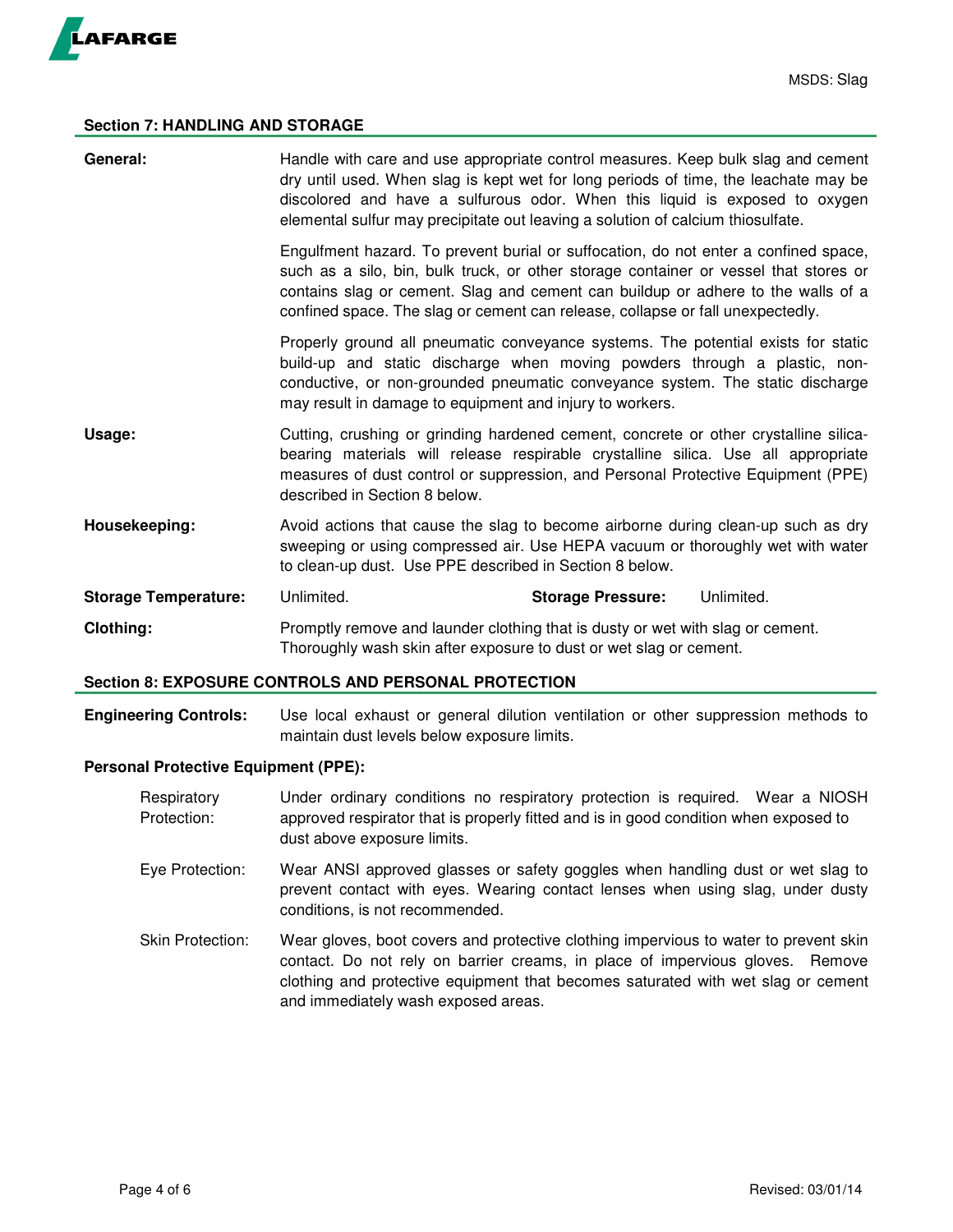

## **Section 7: HANDLING AND STORAGE**

| General:                    | Handle with care and use appropriate control measures. Keep bulk slag and cement<br>dry until used. When slag is kept wet for long periods of time, the leachate may be<br>discolored and have a sulfurous odor. When this liquid is exposed to oxygen<br>elemental sulfur may precipitate out leaving a solution of calcium thiosulfate.         |                          |            |  |
|-----------------------------|---------------------------------------------------------------------------------------------------------------------------------------------------------------------------------------------------------------------------------------------------------------------------------------------------------------------------------------------------|--------------------------|------------|--|
|                             | Engulfment hazard. To prevent burial or suffocation, do not enter a confined space,<br>such as a silo, bin, bulk truck, or other storage container or vessel that stores or<br>contains slag or cement. Slag and cement can buildup or adhere to the walls of a<br>confined space. The slag or cement can release, collapse or fall unexpectedly. |                          |            |  |
|                             | Properly ground all pneumatic conveyance systems. The potential exists for static<br>build-up and static discharge when moving powders through a plastic, non-<br>conductive, or non-grounded pneumatic conveyance system. The static discharge<br>may result in damage to equipment and injury to workers.                                       |                          |            |  |
| Usage:                      | Cutting, crushing or grinding hardened cement, concrete or other crystalline silica-<br>bearing materials will release respirable crystalline silica. Use all appropriate<br>measures of dust control or suppression, and Personal Protective Equipment (PPE)<br>described in Section 8 below.                                                    |                          |            |  |
| Housekeeping:               | Avoid actions that cause the slag to become airborne during clean-up such as dry<br>sweeping or using compressed air. Use HEPA vacuum or thoroughly wet with water<br>to clean-up dust. Use PPE described in Section 8 below.                                                                                                                     |                          |            |  |
| <b>Storage Temperature:</b> | Unlimited.                                                                                                                                                                                                                                                                                                                                        | <b>Storage Pressure:</b> | Unlimited. |  |
| Clothing:                   | Promptly remove and launder clothing that is dusty or wet with slag or cement.<br>Thoroughly wash skin after exposure to dust or wet slag or cement.                                                                                                                                                                                              |                          |            |  |

#### **Section 8: EXPOSURE CONTROLS AND PERSONAL PROTECTION**

**Engineering Controls:** Use local exhaust or general dilution ventilation or other suppression methods to maintain dust levels below exposure limits.

## **Personal Protective Equipment (PPE):**

- Respiratory Under ordinary conditions no respiratory protection is required. Wear a NIOSH Protection: approved respirator that is properly fitted and is in good condition when exposed to dust above exposure limits.
- Eye Protection: Wear ANSI approved glasses or safety goggles when handling dust or wet slag to prevent contact with eyes. Wearing contact lenses when using slag, under dusty conditions, is not recommended.
- Skin Protection: Wear gloves, boot covers and protective clothing impervious to water to prevent skin contact. Do not rely on barrier creams, in place of impervious gloves. Remove clothing and protective equipment that becomes saturated with wet slag or cement and immediately wash exposed areas.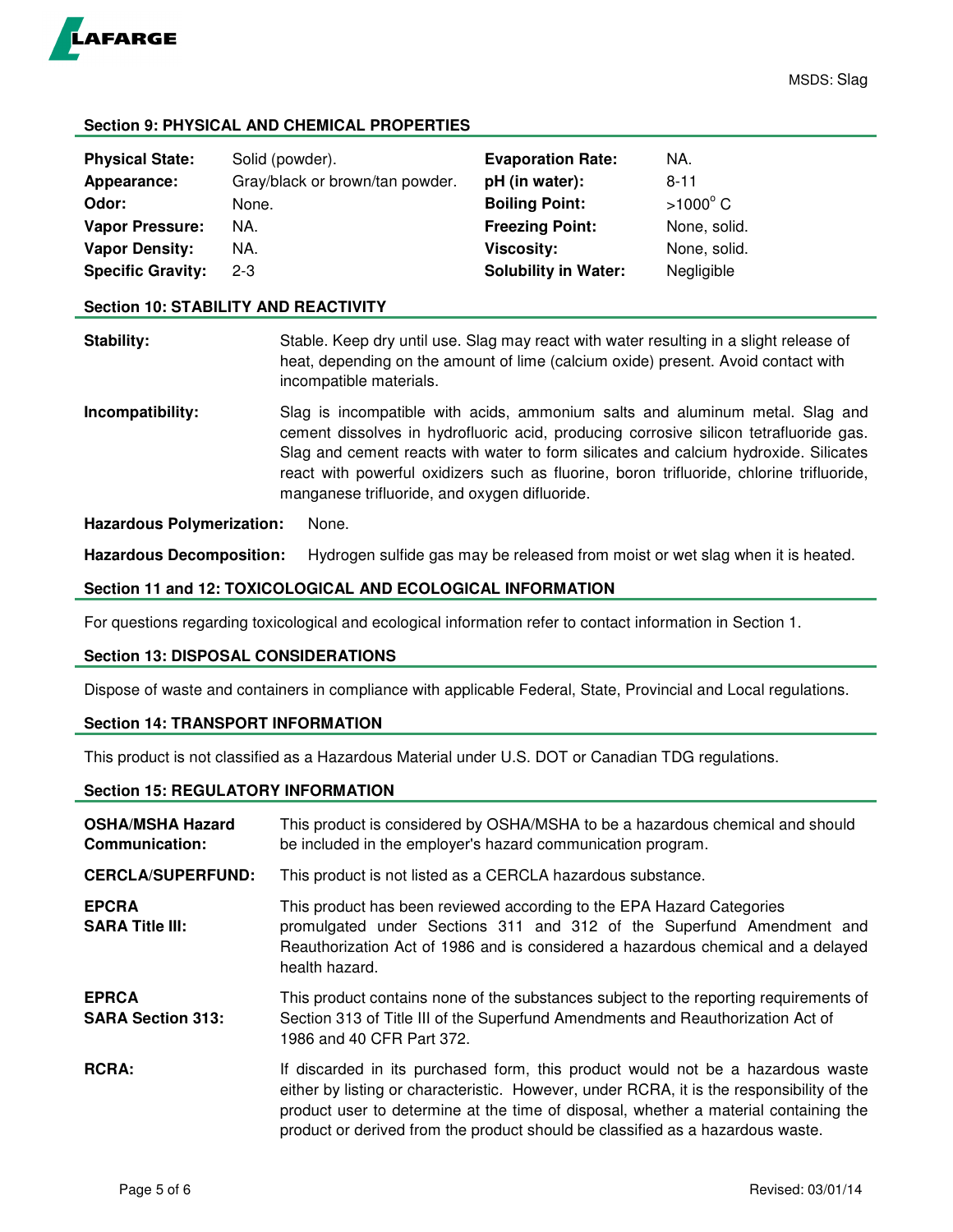

## **Section 9: PHYSICAL AND CHEMICAL PROPERTIES**

| <b>Physical State:</b>   | Solid (powder).                 | <b>Evaporation Rate:</b>    | NA.             |
|--------------------------|---------------------------------|-----------------------------|-----------------|
| Appearance:              | Gray/black or brown/tan powder. | pH (in water):              | $8 - 11$        |
| Odor:                    | None.                           | <b>Boiling Point:</b>       | $>1000^\circ$ C |
| <b>Vapor Pressure:</b>   | NA.                             | <b>Freezing Point:</b>      | None, solid.    |
| <b>Vapor Density:</b>    | NA.                             | Viscosity:                  | None, solid.    |
| <b>Specific Gravity:</b> | $2 - 3$                         | <b>Solubility in Water:</b> | Negligible      |

#### **Section 10: STABILITY AND REACTIVITY**

**Stability:** Stable. Keep dry until use. Slag may react with water resulting in a slight release of heat, depending on the amount of lime (calcium oxide) present. Avoid contact with incompatible materials.

**Incompatibility:** Slag is incompatible with acids, ammonium salts and aluminum metal. Slag and cement dissolves in hydrofluoric acid, producing corrosive silicon tetrafluoride gas. Slag and cement reacts with water to form silicates and calcium hydroxide. Silicates react with powerful oxidizers such as fluorine, boron trifluoride, chlorine trifluoride, manganese trifluoride, and oxygen difluoride.

### **Hazardous Polymerization:** None.

**Hazardous Decomposition:** Hydrogen sulfide gas may be released from moist or wet slag when it is heated.

### **Section 11 and 12: TOXICOLOGICAL AND ECOLOGICAL INFORMATION**

For questions regarding toxicological and ecological information refer to contact information in Section 1.

## **Section 13: DISPOSAL CONSIDERATIONS**

Dispose of waste and containers in compliance with applicable Federal, State, Provincial and Local regulations.

## **Section 14: TRANSPORT INFORMATION**

This product is not classified as a Hazardous Material under U.S. DOT or Canadian TDG regulations.

## **Section 15: REGULATORY INFORMATION**

| <b>OSHA/MSHA Hazard</b><br><b>Communication:</b> | This product is considered by OSHA/MSHA to be a hazardous chemical and should<br>be included in the employer's hazard communication program.                                                                                                                                                                                                           |  |  |
|--------------------------------------------------|--------------------------------------------------------------------------------------------------------------------------------------------------------------------------------------------------------------------------------------------------------------------------------------------------------------------------------------------------------|--|--|
| <b>CERCLA/SUPERFUND:</b>                         | This product is not listed as a CERCLA hazardous substance.                                                                                                                                                                                                                                                                                            |  |  |
| <b>EPCRA</b><br><b>SARA Title III:</b>           | This product has been reviewed according to the EPA Hazard Categories<br>promulgated under Sections 311 and 312 of the Superfund Amendment and<br>Reauthorization Act of 1986 and is considered a hazardous chemical and a delayed<br>health hazard.                                                                                                   |  |  |
| <b>EPRCA</b><br><b>SARA Section 313:</b>         | This product contains none of the substances subject to the reporting requirements of<br>Section 313 of Title III of the Superfund Amendments and Reauthorization Act of<br>1986 and 40 CFR Part 372.                                                                                                                                                  |  |  |
| <b>RCRA:</b>                                     | If discarded in its purchased form, this product would not be a hazardous waste<br>either by listing or characteristic. However, under RCRA, it is the responsibility of the<br>product user to determine at the time of disposal, whether a material containing the<br>product or derived from the product should be classified as a hazardous waste. |  |  |